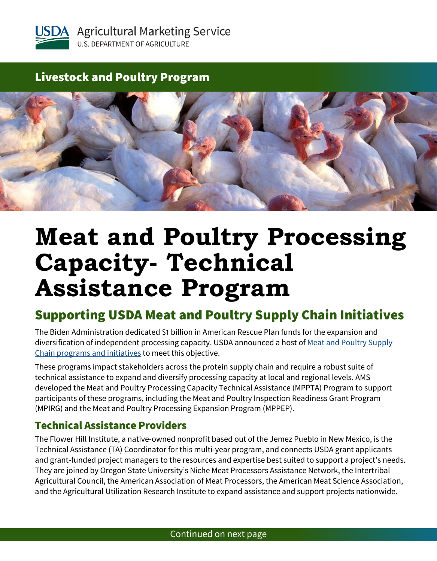

## Livestock and Poultry Program



# **Meat and Poultry Processing Capacity- Technical Assistance Program**

## Supporting USDA Meat and Poultry Supply Chain Initiatives

The Biden Administration dedicated \$1 billion in American Rescue Plan funds for the expansion and diversification of independent processing capacity. USDA announced a host of Meat and Poultry Supply [Chain programs and initiatives](http://www.usda.gov/meat) to meet this objective.

These programs impact stakeholders across the protein supply chain and require a robust suite of technical assistance to expand and diversify processing capacity at local and regional levels. AMS developed the Meat and Poultry Processing Capacity Technical Assistance (MPPTA) Program to support participants of these programs, including the Meat and Poultry Inspection Readiness Grant Program (MPIRG) and the Meat and Poultry Processing Expansion Program (MPPEP).

### Technical Assistance Providers

The Flower Hill Institute, a native-owned nonprofit based out of the Jemez Pueblo in New Mexico, is the Technical Assistance (TA) Coordinator for this multi-year program, and connects USDA grant applicants and grant-funded project managers to the resources and expertise best suited to support a project's needs. They are joined by Oregon State University's Niche Meat Processors Assistance Network, the Intertribal Agricultural Council, the American Association of Meat Processors, the American Meat Science Association, and the Agricultural Utilization Research Institute to expand assistance and support projects nationwide.